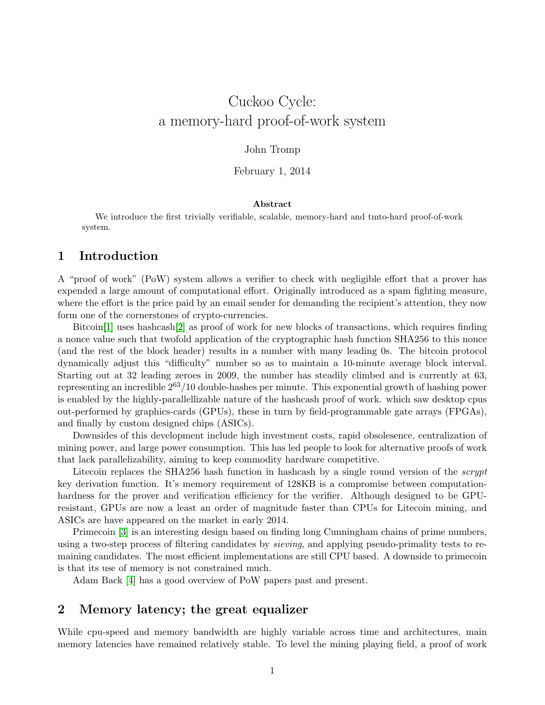# Cuckoo Cycle: a memory-hard proof-of-work system

#### John Tromp

#### February 1, 2014

#### Abstract

We introduce the first trivially verifiable, scalable, memory-hard and tmto-hard proof-of-work system.

#### 1 Introduction

A "proof of work" (PoW) system allows a verifier to check with negligible effort that a prover has expended a large amount of computational effort. Originally introduced as a spam fighting measure, where the effort is the price paid by an email sender for demanding the recipient's attention, they now form one of the cornerstones of crypto-currencies.

Bitcoin[\[1\]](#page-4-0) uses hashcash[\[2\]](#page-4-1) as proof of work for new blocks of transactions, which requires finding a nonce value such that twofold application of the cryptographic hash function SHA256 to this nonce (and the rest of the block header) results in a number with many leading 0s. The bitcoin protocol dynamically adjust this "difficulty" number so as to maintain a 10-minute average block interval. Starting out at 32 leading zeroes in 2009, the number has steadily climbed and is currently at 63, representing an incredible  $2^{63}/10$  double-hashes per minute. This exponential growth of hashing power is enabled by the highly-parallellizable nature of the hashcash proof of work. which saw desktop cpus out-performed by graphics-cards (GPUs), these in turn by field-programmable gate arrays (FPGAs), and finally by custom designed chips (ASICs).

Downsides of this development include high investment costs, rapid obsolesence, centralization of mining power, and large power consumption. This has led people to look for alternative proofs of work that lack parallelizability, aiming to keep commodity hardware competitive.

Litecoin replaces the SHA256 hash function in hashcash by a single round version of the  $script$ key derivation function. It's memory requirement of 128KB is a compromise between computationhardness for the prover and verification efficiency for the verifier. Although designed to be GPUresistant, GPUs are now a least an order of magnitude faster than CPUs for Litecoin mining, and ASICs are have appeared on the market in early 2014.

Primecoin [\[3\]](#page-4-2) is an interesting design based on finding long Cunningham chains of prime numbers, using a two-step process of filtering candidates by *sieving*, and applying pseudo-primality tests to remaining candidates. The most efficient implementations are still CPU based. A downside to primecoin is that its use of memory is not constrained much.

Adam Back [\[4\]](#page-4-3) has a good overview of PoW papers past and present.

## 2 Memory latency; the great equalizer

While cpu-speed and memory bandwidth are highly variable across time and architectures, main memory latencies have remained relatively stable. To level the mining playing field, a proof of work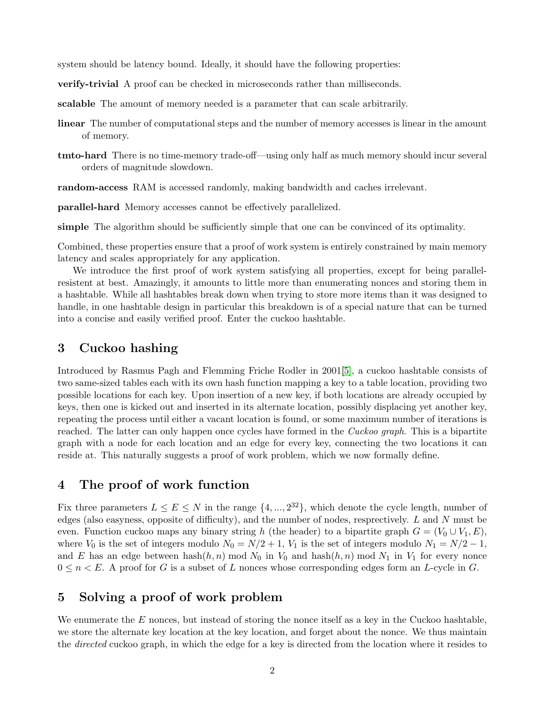system should be latency bound. Ideally, it should have the following properties:

verify-trivial A proof can be checked in microseconds rather than milliseconds.

scalable The amount of memory needed is a parameter that can scale arbitrarily.

- linear The number of computational steps and the number of memory accesses is linear in the amount of memory.
- tmto-hard There is no time-memory trade-off—using only half as much memory should incur several orders of magnitude slowdown.

random-access RAM is accessed randomly, making bandwidth and caches irrelevant.

parallel-hard Memory accesses cannot be effectively parallelized.

simple The algorithm should be sufficiently simple that one can be convinced of its optimality.

Combined, these properties ensure that a proof of work system is entirely constrained by main memory latency and scales appropriately for any application.

We introduce the first proof of work system satisfying all properties, except for being parallelresistent at best. Amazingly, it amounts to little more than enumerating nonces and storing them in a hashtable. While all hashtables break down when trying to store more items than it was designed to handle, in one hashtable design in particular this breakdown is of a special nature that can be turned into a concise and easily verified proof. Enter the cuckoo hashtable.

## 3 Cuckoo hashing

Introduced by Rasmus Pagh and Flemming Friche Rodler in 2001[\[5\]](#page-4-4), a cuckoo hashtable consists of two same-sized tables each with its own hash function mapping a key to a table location, providing two possible locations for each key. Upon insertion of a new key, if both locations are already occupied by keys, then one is kicked out and inserted in its alternate location, possibly displacing yet another key, repeating the process until either a vacant location is found, or some maximum number of iterations is reached. The latter can only happen once cycles have formed in the *Cuckoo graph*. This is a bipartite graph with a node for each location and an edge for every key, connecting the two locations it can reside at. This naturally suggests a proof of work problem, which we now formally define.

## 4 The proof of work function

Fix three parameters  $L \le E \le N$  in the range  $\{4, ..., 2^{32}\}\$ , which denote the cycle length, number of edges (also easyness, opposite of difficulty), and the number of nodes, resprectively. L and N must be even. Function cuckoo maps any binary string h (the header) to a bipartite graph  $G = (V_0 \cup V_1, E)$ , where  $V_0$  is the set of integers modulo  $N_0 = N/2 + 1$ ,  $V_1$  is the set of integers modulo  $N_1 = N/2 - 1$ , and E has an edge between hash $(h, n)$  mod  $N_0$  in  $V_0$  and hash $(h, n)$  mod  $N_1$  in  $V_1$  for every nonce  $0 \leq n \leq E$ . A proof for G is a subset of L nonces whose corresponding edges form an L-cycle in G.

## 5 Solving a proof of work problem

We enumerate the  $E$  nonces, but instead of storing the nonce itself as a key in the Cuckoo hashtable, we store the alternate key location at the key location, and forget about the nonce. We thus maintain the *directed* cuckoo graph, in which the edge for a key is directed from the location where it resides to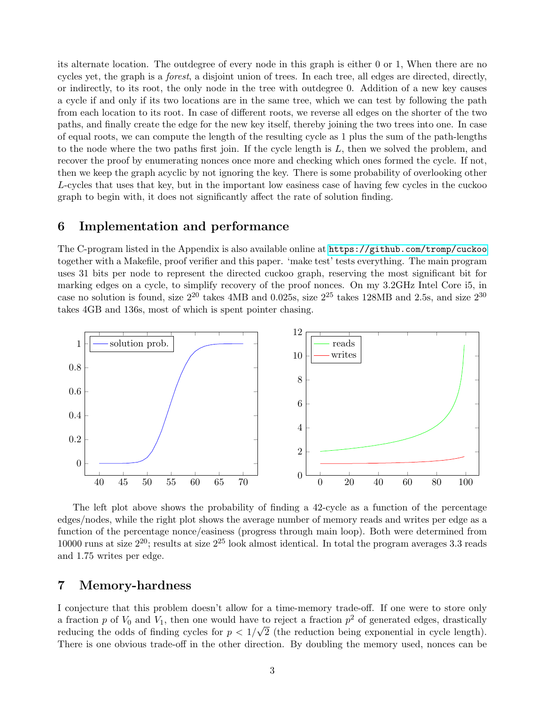its alternate location. The outdegree of every node in this graph is either 0 or 1, When there are no cycles yet, the graph is a forest, a disjoint union of trees. In each tree, all edges are directed, directly, or indirectly, to its root, the only node in the tree with outdegree 0. Addition of a new key causes a cycle if and only if its two locations are in the same tree, which we can test by following the path from each location to its root. In case of different roots, we reverse all edges on the shorter of the two paths, and finally create the edge for the new key itself, thereby joining the two trees into one. In case of equal roots, we can compute the length of the resulting cycle as 1 plus the sum of the path-lengths to the node where the two paths first join. If the cycle length is L, then we solved the problem, and recover the proof by enumerating nonces once more and checking which ones formed the cycle. If not, then we keep the graph acyclic by not ignoring the key. There is some probability of overlooking other L-cycles that uses that key, but in the important low easiness case of having few cycles in the cuckoo graph to begin with, it does not significantly affect the rate of solution finding.

#### 6 Implementation and performance

The C-program listed in the Appendix is also available online at <https://github.com/tromp/cuckoo> together with a Makefile, proof verifier and this paper. 'make test' tests everything. The main program uses 31 bits per node to represent the directed cuckoo graph, reserving the most significant bit for marking edges on a cycle, to simplify recovery of the proof nonces. On my 3.2GHz Intel Core i5, in case no solution is found, size  $2^{20}$  takes 4MB and 0.025s, size  $2^{25}$  takes 128MB and 2.5s, and size  $2^{30}$ takes 4GB and 136s, most of which is spent pointer chasing.



The left plot above shows the probability of finding a 42-cycle as a function of the percentage edges/nodes, while the right plot shows the average number of memory reads and writes per edge as a function of the percentage nonce/easiness (progress through main loop). Both were determined from 10000 runs at size  $2^{20}$ ; results at size  $2^{25}$  look almost identical. In total the program averages 3.3 reads and 1.75 writes per edge.

#### 7 Memory-hardness

I conjecture that this problem doesn't allow for a time-memory trade-off. If one were to store only a fraction p of  $V_0$  and  $V_1$ , then one would have to reject a fraction  $p^2$  of generated edges, drastically reducing the odds of finding cycles for  $p < 1/\sqrt{2}$  (the reduction being exponential in cycle length). There is one obvious trade-off in the other direction. By doubling the memory used, nonces can be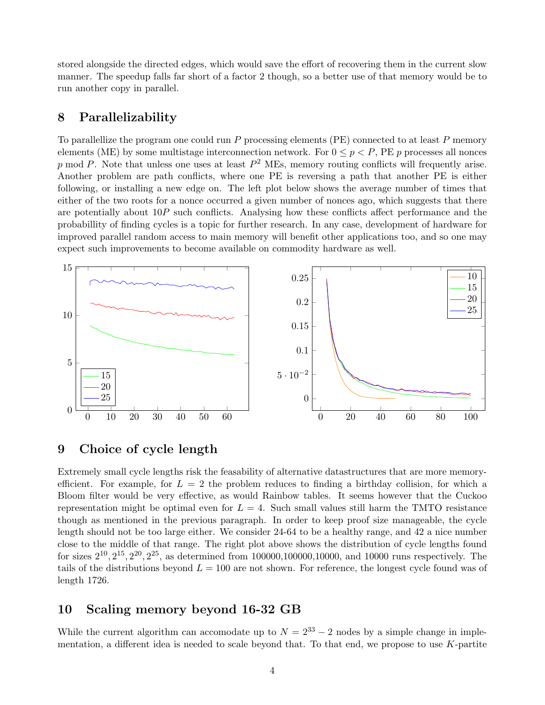stored alongside the directed edges, which would save the effort of recovering them in the current slow manner. The speedup falls far short of a factor 2 though, so a better use of that memory would be to run another copy in parallel.

#### 8 Parallelizability

To parallellize the program one could run P processing elements (PE) connected to at least P memory elements (ME) by some multistage interconnection network. For  $0 \leq p \leq P$ , PE p processes all nonces p mod P. Note that unless one uses at least  $P^2$  MEs, memory routing conflicts will frequently arise. Another problem are path conflicts, where one PE is reversing a path that another PE is either following, or installing a new edge on. The left plot below shows the average number of times that either of the two roots for a nonce occurred a given number of nonces ago, which suggests that there are potentially about  $10P$  such conflicts. Analysing how these conflicts affect performance and the probabillity of finding cycles is a topic for further research. In any case, development of hardware for improved parallel random access to main memory will benefit other applications too, and so one may expect such improvements to become available on commodity hardware as well.



## 9 Choice of cycle length

Extremely small cycle lengths risk the feasability of alternative datastructures that are more memoryefficient. For example, for  $L = 2$  the problem reduces to finding a birthday collision, for which a Bloom filter would be very effective, as would Rainbow tables. It seems however that the Cuckoo representation might be optimal even for  $L = 4$ . Such small values still harm the TMTO resistance though as mentioned in the previous paragraph. In order to keep proof size manageable, the cycle length should not be too large either. We consider 24-64 to be a healthy range, and 42 a nice number close to the middle of that range. The right plot above shows the distribution of cycle lengths found for sizes  $2^{10}$ ,  $2^{15}$ ,  $2^{20}$ ,  $2^{25}$ , as determined from 100000,100000,10000, and 10000 runs respectively. The tails of the distributions beyond  $L = 100$  are not shown. For reference, the longest cycle found was of length 1726.

#### 10 Scaling memory beyond 16-32 GB

While the current algorithm can accomodate up to  $N = 2^{33} - 2$  nodes by a simple change in implementation, a different idea is needed to scale beyond that. To that end, we propose to use  $K$ -partite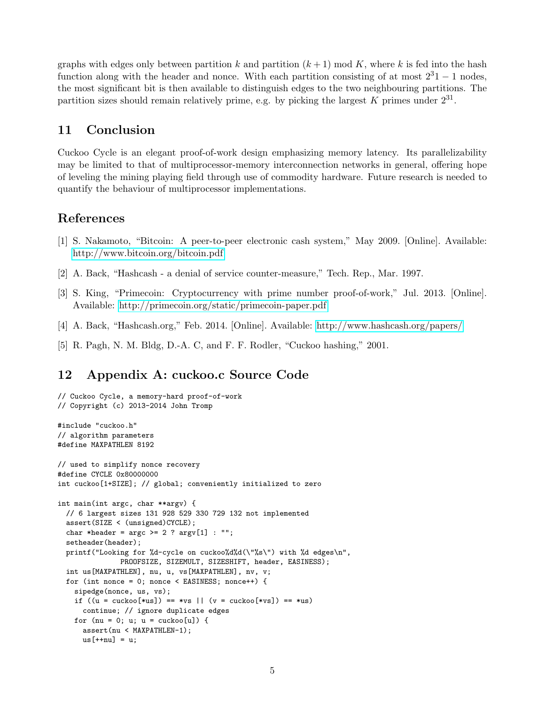graphs with edges only between partition k and partition  $(k+1) \mod K$ , where k is fed into the hash function along with the header and nonce. With each partition consisting of at most  $2^31 - 1$  nodes, the most significant bit is then available to distinguish edges to the two neighbouring partitions. The partition sizes should remain relatively prime, e.g. by picking the largest  $K$  primes under  $2^{31}$ .

## 11 Conclusion

Cuckoo Cycle is an elegant proof-of-work design emphasizing memory latency. Its parallelizability may be limited to that of multiprocessor-memory interconnection networks in general, offering hope of leveling the mining playing field through use of commodity hardware. Future research is needed to quantify the behaviour of multiprocessor implementations.

## References

- <span id="page-4-0"></span>[1] S. Nakamoto, "Bitcoin: A peer-to-peer electronic cash system," May 2009. [Online]. Available: <http://www.bitcoin.org/bitcoin.pdf>
- <span id="page-4-1"></span>[2] A. Back, "Hashcash - a denial of service counter-measure," Tech. Rep., Mar. 1997.
- <span id="page-4-2"></span>[3] S. King, "Primecoin: Cryptocurrency with prime number proof-of-work," Jul. 2013. [Online]. Available:<http://primecoin.org/static/primecoin-paper.pdf>
- <span id="page-4-3"></span>[4] A. Back, "Hashcash.org," Feb. 2014. [Online]. Available:<http://www.hashcash.org/papers/>
- <span id="page-4-4"></span>[5] R. Pagh, N. M. Bldg, D.-A. C, and F. F. Rodler, "Cuckoo hashing," 2001.

# 12 Appendix A: cuckoo.c Source Code

```
// Cuckoo Cycle, a memory-hard proof-of-work
// Copyright (c) 2013-2014 John Tromp
#include "cuckoo.h"
// algorithm parameters
#define MAXPATHLEN 8192
// used to simplify nonce recovery
#define CYCLE 0x80000000
int cuckoo[1+SIZE]; // global; conveniently initialized to zero
int main(int argc, char **argv) {
 // 6 largest sizes 131 928 529 330 729 132 not implemented
 assert(SIZE < (unsigned)CYCLE);
 char *header = \arg c >= 2 ? \arg v[1] : "";
 setheader(header);
 printf("Looking for %d-cycle on cuckoo%d%d(\"%s\") with %d edges\n",
               PROOFSIZE, SIZEMULT, SIZESHIFT, header, EASINESS);
 int us[MAXPATHLEN], nu, u, vs[MAXPATHLEN], nv, v;
 for (int nonce = 0; nonce < EASINESS; nonce ++) {
    sipedge(nonce, us, vs);
    if ((u = cuckoo[*us]) == *vs || (v = cuckoo[*vs]) == *us)continue; // ignore duplicate edges
    for (nu = 0; u; u = cuckoo[u]) {
      assert(nu < MAXPATHLEN-1);
     us[++nu] = u;
```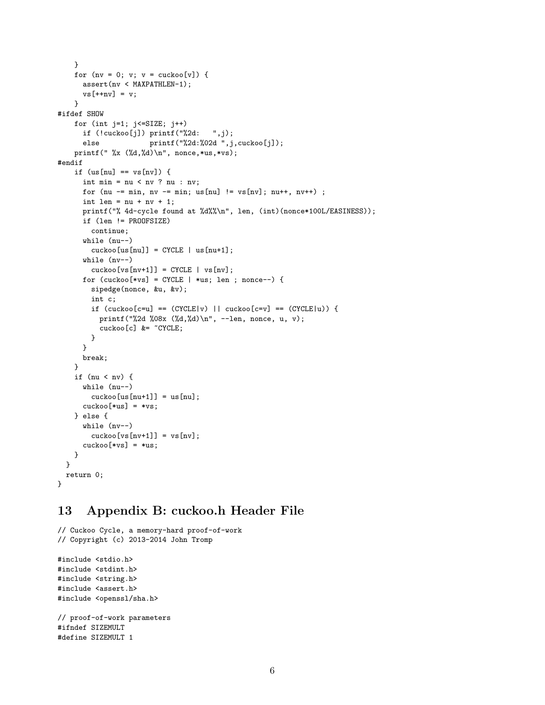```
}
    for (nv = 0; v; v = cuckoo[v]) {
      assert(nv < MAXPATHLEN-1);
      vs[++nv] = v;}
#ifdef SHOW
    for (int j=1; j<=SIZE; j++)if (!\ncuckoo[j])\ printf("%2d: ", j);else printf("%2d:%02d",j,cuckoo[j]);
    printf(" \%x (\d,\d),\n", nonce,*us,*vs);
#endif
    if (us[nu] == vs[nv]) {
      int min = nu < nv ? nu : nv;
      for (nu -= min, nv -= min; us[nu] != vs[nv]; nu++, nv++) ;
      int len = nu + nv + 1;
      printf("% 4d-cycle found at %d%"\n", len, (int)(nonce*100L/EASINESS));
      if (len != PROOFSIZE)
        continue;
      while (nu--)
        \text{cuckoo}[\text{us}[\text{nu}]] = \text{CYCLE} \mid \text{us}[\text{nu}+1];while (nv--)
        cuckoo[vs[nv+1]] = CYCLE | vs[nv];for (cuckoo[*vs] = CYCLE | *us; len; nonce--) {
        sipedge(nonce, &u, &v);
        int c;
        if (cuckoo[c=u] == (CYCLE|v) || cuckoo[c=v] == (CYCLE|u)) {
          printf("%2d %08x (%d,%d)\n", --len, nonce, u, v);
          cuckoo[c] &= ~CYCLE;
        }
      }
      break;
    }
    if (nu < nv) {
      while (nu--)
        cuckoo[us[nu+1]] = us[nu];cuckoo[*us] = *vs;} else {
      while (nv--)
        cuckoo[vs[nv+1]] = vs[nv];cuckoo[*vs] = *us;}
  }
 return 0;
}
```
# 13 Appendix B: cuckoo.h Header File

```
// Cuckoo Cycle, a memory-hard proof-of-work
// Copyright (c) 2013-2014 John Tromp
#include <stdio.h>
#include <stdint.h>
#include <string.h>
#include <assert.h>
#include <openssl/sha.h>
// proof-of-work parameters
#ifndef SIZEMULT
#define SIZEMULT 1
```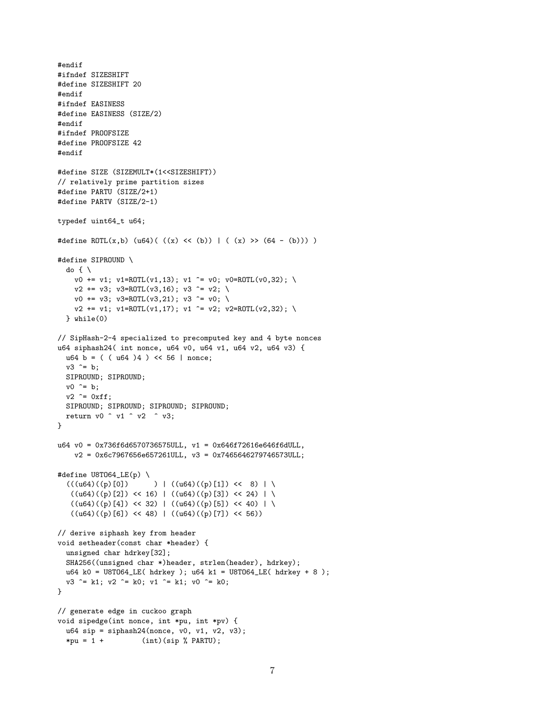```
#endif
#ifndef SIZESHIFT
#define SIZESHIFT 20
#endif
#ifndef EASINESS
#define EASINESS (SIZE/2)
#endif
#ifndef PROOFSIZE
#define PROOFSIZE 42
#endif
#define SIZE (SIZEMULT*(1<<SIZESHIFT))
// relatively prime partition sizes
#define PARTU (SIZE/2+1)
#define PARTV (SIZE/2-1)
typedef uint64_t u64;
#define ROTL(x,b) (u64)( ((x) << (b)) | ( (x) >> (64 - (b))) )
#define SIPROUND \
  do \{\ \ \}\v0 \leftarrow v1; v1=ROTL(v1,13); v1 \sim v0; v0=ROTL(v0,32); \
    v2 \leftarrow v3; v3 = ROTL(v3, 16); v3 \leftarrow v2; \
    v0 \leftarrow v3; v3=ROTL(v3,21); v3 ^= v0; \
    v2 \leftarrow v1; v1 = ROTL(v1, 17); v1 \leftarrow v2; v2 = ROTL(v2, 32); \
  } while(0)
// SipHash-2-4 specialized to precomputed key and 4 byte nonces
u64 siphash24( int nonce, u64 v0, u64 v1, u64 v2, u64 v3) {
  u64 b = ( ( u64 )4 ) < 56 | nonce;
  v3 \hat{i} = b;
 SIPROUND; SIPROUND;
  v0 ^= b;
  v2 \approx 0xff;SIPROUND; SIPROUND; SIPROUND; SIPROUND;
 return v0 \degree v1 \degree v2 \degree v3;
}
u64 v0 = 0x736f6d6570736575ULL, v1 = 0x646f72616e646f6dULL,
    v2 = 0x6c7967656e657261ULL, v3 = 0x7465646279746573ULL;
#define U8TO64_LE(p) \
  (((u64)((p)[0])) ) | ((u64)((p)[1]) \le 8) | \
   ((u64)((p)[2]) \ll 16) | ((u64)((p)[3]) \ll 24) | \
   ((u64)((p)[4]) \ll 32) | ((u64)((p)[5]) \ll 40) | \
   ((u64)((p)[6]) \iff 48) | ((u64)((p)[7]) \iff 56)// derive siphash key from header
void setheader(const char *header) {
  unsigned char hdrkey[32];
  SHA256((unsigned char *)header, strlen(header), hdrkey);
 u64 k0 = U8TO64_LE( hdrkey ); u64 k1 = U8TO64_LE( hdrkey + 8 );
  v3 \hat{i} = k1; v2 \hat{i} = k0; v1 \hat{i} = k1; v0 \hat{i} = k0;
}
// generate edge in cuckoo graph
void sipedge(int nonce, int *pu, int *pv) {
 u64 sip = siphash24(nonce, v0, v1, v2, v3);
  *pu = 1 + (int)(sip % PARTU);
```